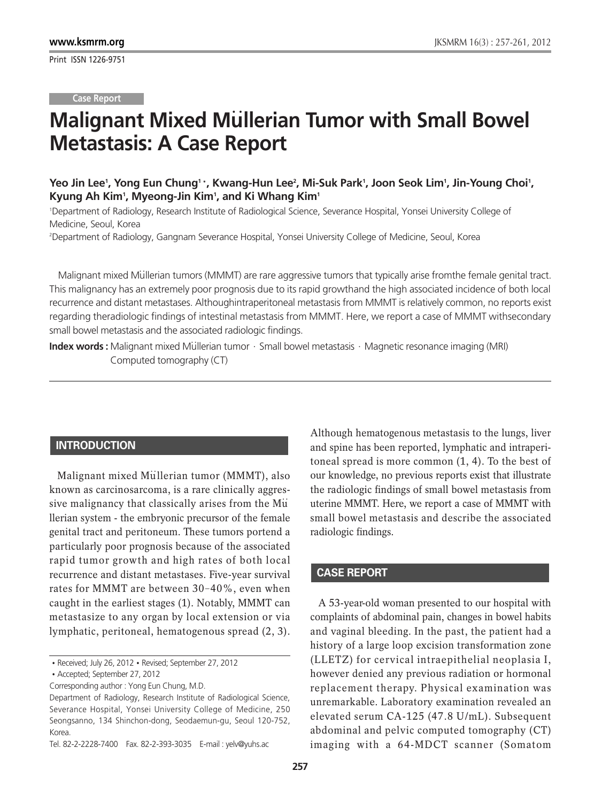Print ISSN 1226-9751

# **Malignant Mixed Müllerian Tumor with Small Bowel Metastasis: A Case Report**

Yeo Jin Lee', Yong Eun Chung' \*, Kwang-Hun Lee<sup>2</sup>, Mi-Suk Park', Joon Seok Lim', Jin-Young Choi', **Kyung Ah Kim1 , Myeong-Jin Kim1 , and Ki Whang Kim1**

1 Department of Radiology, Research Institute of Radiological Science, Severance Hospital, Yonsei University College of Medicine, Seoul, Korea

2 Department of Radiology, Gangnam Severance Hospital, Yonsei University College of Medicine, Seoul, Korea

Malignant mixed Müllerian tumors (MMMT) are rare aggressive tumors that typically arise fromthe female genital tract. This malignancy has an extremely poor prognosis due to its rapid growthand the high associated incidence of both local recurrence and distant metastases. Althoughintraperitoneal metastasis from MMMT is relatively common, no reports exist regarding theradiologic findings of intestinal metastasis from MMMT. Here, we report a case of MMMT withsecondary small bowel metastasis and the associated radiologic findings.

**Index words :** Malignant mixed Mullerian tumor ⋅ Small bowel metastasis ⋅ Magnetic resonance imaging (MRI) Computed tomography (CT)

### **INTRODUCTION**

Malignant mixed Müllerian tumor (MMMT), also known as carcinosarcoma, is a rare clinically aggressive malignancy that classically arises from the Mu llerian system - the embryonic precursor of the female genital tract and peritoneum. These tumors portend a particularly poor prognosis because of the associated rapid tumor growth and high rates of both local recurrence and distant metastases. Five-year survival rates for MMMT are between 30-40%, even when caught in the earliest stages (1). Notably, MMMT can metastasize to any organ by local extension or via lymphatic, peritoneal, hematogenous spread (2, 3).

Although hematogenous metastasis to the lungs, liver and spine has been reported, lymphatic and intraperitoneal spread is more common (1, 4). To the best of our knowledge, no previous reports exist that illustrate the radiologic findings of small bowel metastasis from uterine MMMT. Here, we report a case of MMMT with small bowel metastasis and describe the associated radiologic findings.

## **CASE REPORT**

A 53-year-old woman presented to our hospital with complaints of abdominal pain, changes in bowel habits and vaginal bleeding. In the past, the patient had a history of a large loop excision transformation zone (LLETZ) for cervical intraepithelial neoplasia I, however denied any previous radiation or hormonal replacement therapy. Physical examination was unremarkable. Laboratory examination revealed an elevated serum CA-125 (47.8 U/mL). Subsequent abdominal and pelvic computed tomography (CT) imaging with a 64-MDCT scanner (Somatom

<sup>•</sup> Received; July 26, 2012 • Revised; September 27, 2012

<sup>�</sup>Accepted; September 27, 2012

Corresponding author : Yong Eun Chung, M.D.

Department of Radiology, Research Institute of Radiological Science, Severance Hospital, Yonsei University College of Medicine, 250 Seongsanno, 134 Shinchon-dong, Seodaemun-gu, Seoul 120-752, Korea.

Tel. 82-2-2228-7400 Fax. 82-2-393-3035 E-mail : yelv@yuhs.ac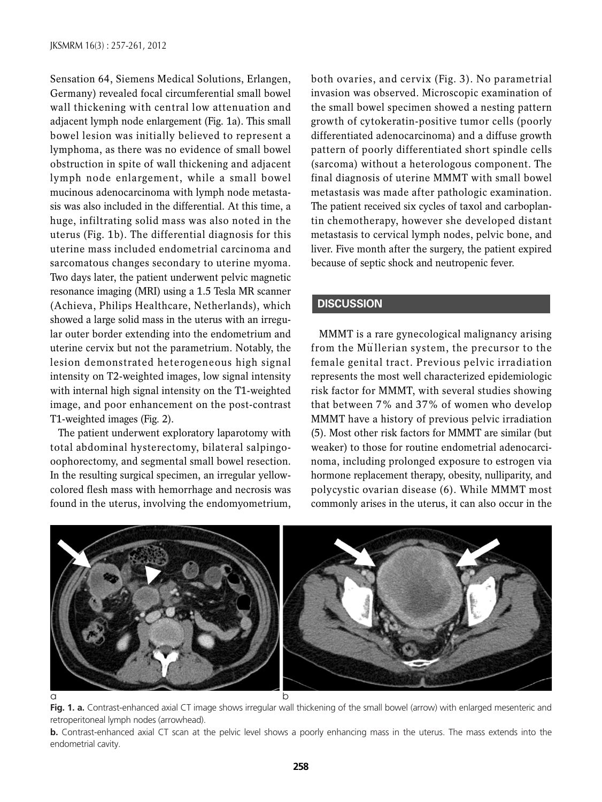Sensation 64, Siemens Medical Solutions, Erlangen, Germany) revealed focal circumferential small bowel wall thickening with central low attenuation and adjacent lymph node enlargement (Fig. 1a). This small bowel lesion was initially believed to represent a lymphoma, as there was no evidence of small bowel obstruction in spite of wall thickening and adjacent lymph node enlargement, while a small bowel mucinous adenocarcinoma with lymph node metastasis was also included in the differential. At this time, a huge, infiltrating solid mass was also noted in the uterus (Fig. 1b). The differential diagnosis for this uterine mass included endometrial carcinoma and sarcomatous changes secondary to uterine myoma. Two days later, the patient underwent pelvic magnetic resonance imaging (MRI) using a 1.5 Tesla MR scanner (Achieva, Philips Healthcare, Netherlands), which showed a large solid mass in the uterus with an irregular outer border extending into the endometrium and uterine cervix but not the parametrium. Notably, the lesion demonstrated heterogeneous high signal intensity on T2-weighted images, low signal intensity with internal high signal intensity on the T1-weighted image, and poor enhancement on the post-contrast T1-weighted images (Fig. 2).

The patient underwent exploratory laparotomy with total abdominal hysterectomy, bilateral salpingooophorectomy, and segmental small bowel resection. In the resulting surgical specimen, an irregular yellowcolored flesh mass with hemorrhage and necrosis was found in the uterus, involving the endomyometrium,

both ovaries, and cervix (Fig. 3). No parametrial invasion was observed. Microscopic examination of the small bowel specimen showed a nesting pattern growth of cytokeratin-positive tumor cells (poorly differentiated adenocarcinoma) and a diffuse growth pattern of poorly differentiated short spindle cells (sarcoma) without a heterologous component. The final diagnosis of uterine MMMT with small bowel metastasis was made after pathologic examination. The patient received six cycles of taxol and carboplantin chemotherapy, however she developed distant metastasis to cervical lymph nodes, pelvic bone, and liver. Five month after the surgery, the patient expired because of septic shock and neutropenic fever.

# **DISCUSSION**

MMMT is a rare gynecological malignancy arising from the Müllerian system, the precursor to the female genital tract. Previous pelvic irradiation represents the most well characterized epidemiologic risk factor for MMMT, with several studies showing that between 7% and 37% of women who develop MMMT have a history of previous pelvic irradiation (5). Most other risk factors for MMMT are similar (but weaker) to those for routine endometrial adenocarcinoma, including prolonged exposure to estrogen via hormone replacement therapy, obesity, nulliparity, and polycystic ovarian disease (6). While MMMT most commonly arises in the uterus, it can also occur in the



**Fig. 1. a.** Contrast-enhanced axial CT image shows irregular wall thickening of the small bowel (arrow) with enlarged mesenteric and retroperitoneal lymph nodes (arrowhead).

**b.** Contrast-enhanced axial CT scan at the pelvic level shows a poorly enhancing mass in the uterus. The mass extends into the endometrial cavity.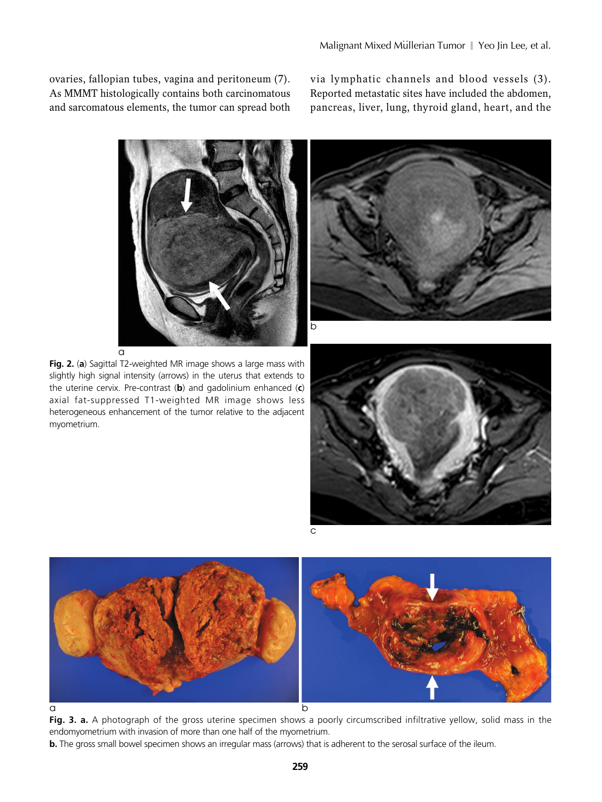ovaries, fallopian tubes, vagina and peritoneum (7). As MMMT histologically contains both carcinomatous and sarcomatous elements, the tumor can spread both via lymphatic channels and blood vessels (3). Reported metastatic sites have included the abdomen, pancreas, liver, lung, thyroid gland, heart, and the



**Fig. 2.** (**a**) Sagittal T2-weighted MR image shows a large mass with slightly high signal intensity (arrows) in the uterus that extends to the uterine cervix. Pre-contrast (**b**) and gadolinium enhanced (**c**) axial fat-suppressed T1-weighted MR image shows less heterogeneous enhancement of the tumor relative to the adjacent myometrium.



**b**





Fig. 3. a. A photograph of the gross uterine specimen shows a poorly circumscribed infiltrative yellow, solid mass in the endomyometrium with invasion of more than one half of the myometrium.

**b.** The gross small bowel specimen shows an irregular mass (arrows) that is adherent to the serosal surface of the ileum.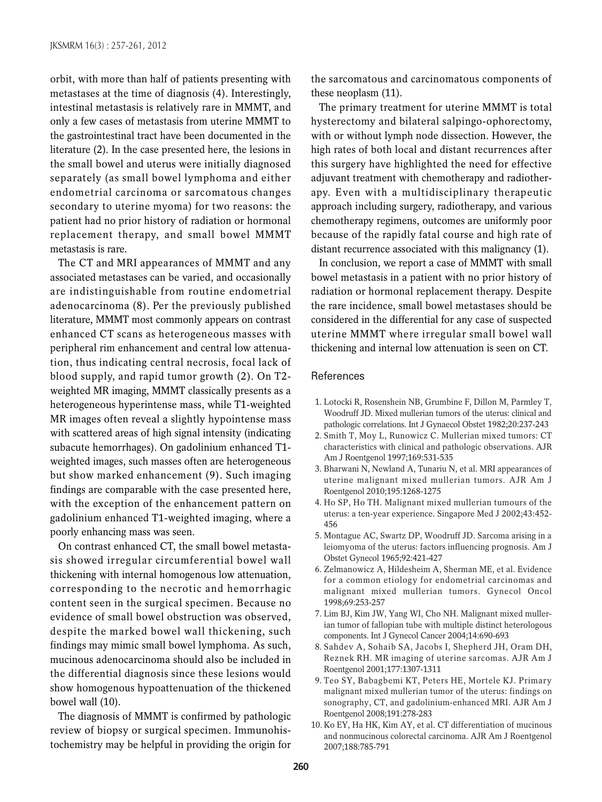orbit, with more than half of patients presenting with metastases at the time of diagnosis (4). Interestingly, intestinal metastasis is relatively rare in MMMT, and only a few cases of metastasis from uterine MMMT to the gastrointestinal tract have been documented in the literature (2). In the case presented here, the lesions in the small bowel and uterus were initially diagnosed separately (as small bowel lymphoma and either endometrial carcinoma or sarcomatous changes secondary to uterine myoma) for two reasons: the patient had no prior history of radiation or hormonal replacement therapy, and small bowel MMMT metastasis is rare.

The CT and MRI appearances of MMMT and any associated metastases can be varied, and occasionally are indistinguishable from routine endometrial adenocarcinoma (8). Per the previously published literature, MMMT most commonly appears on contrast enhanced CT scans as heterogeneous masses with peripheral rim enhancement and central low attenuation, thus indicating central necrosis, focal lack of blood supply, and rapid tumor growth (2). On T2 weighted MR imaging, MMMT classically presents as a heterogeneous hyperintense mass, while T1-weighted MR images often reveal a slightly hypointense mass with scattered areas of high signal intensity (indicating subacute hemorrhages). On gadolinium enhanced T1 weighted images, such masses often are heterogeneous but show marked enhancement (9). Such imaging findings are comparable with the case presented here, with the exception of the enhancement pattern on gadolinium enhanced T1-weighted imaging, where a poorly enhancing mass was seen.

On contrast enhanced CT, the small bowel metastasis showed irregular circumferential bowel wall thickening with internal homogenous low attenuation, corresponding to the necrotic and hemorrhagic content seen in the surgical specimen. Because no evidence of small bowel obstruction was observed, despite the marked bowel wall thickening, such findings may mimic small bowel lymphoma. As such, mucinous adenocarcinoma should also be included in the differential diagnosis since these lesions would show homogenous hypoattenuation of the thickened bowel wall (10).

The diagnosis of MMMT is confirmed by pathologic review of biopsy or surgical specimen. Immunohistochemistry may be helpful in providing the origin for

the sarcomatous and carcinomatous components of these neoplasm (11).

The primary treatment for uterine MMMT is total hysterectomy and bilateral salpingo-ophorectomy, with or without lymph node dissection. However, the high rates of both local and distant recurrences after this surgery have highlighted the need for effective adjuvant treatment with chemotherapy and radiotherapy. Even with a multidisciplinary therapeutic approach including surgery, radiotherapy, and various chemotherapy regimens, outcomes are uniformly poor because of the rapidly fatal course and high rate of distant recurrence associated with this malignancy (1).

In conclusion, we report a case of MMMT with small bowel metastasis in a patient with no prior history of radiation or hormonal replacement therapy. Despite the rare incidence, small bowel metastases should be considered in the differential for any case of suspected uterine MMMT where irregular small bowel wall thickening and internal low attenuation is seen on CT.

### References

- 1. Lotocki R, Rosenshein NB, Grumbine F, Dillon M, Parmley T, Woodruff JD. Mixed mullerian tumors of the uterus: clinical and pathologic correlations. Int J Gynaecol Obstet 1982;20:237-243
- 2. Smith T, Moy L, Runowicz C. Mullerian mixed tumors: CT characteristics with clinical and pathologic observations. AJR Am J Roentgenol 1997;169:531-535
- 3. Bharwani N, Newland A, Tunariu N, et al. MRI appearances of uterine malignant mixed mullerian tumors. AJR Am J Roentgenol 2010;195:1268-1275
- 4. Ho SP, Ho TH. Malignant mixed mullerian tumours of the uterus: a ten-year experience. Singapore Med J 2002;43:452- 456
- 5. Montague AC, Swartz DP, Woodruff JD. Sarcoma arising in a leiomyoma of the uterus: factors influencing prognosis. Am J Obstet Gynecol 1965;92:421-427
- 6. Zelmanowicz A, Hildesheim A, Sherman ME, et al. Evidence for a common etiology for endometrial carcinomas and malignant mixed mullerian tumors. Gynecol Oncol 1998;69:253-257
- 7. Lim BJ, Kim JW, Yang WI, Cho NH. Malignant mixed mullerian tumor of fallopian tube with multiple distinct heterologous components. Int J Gynecol Cancer 2004;14:690-693
- 8. Sahdev A, Sohaib SA, Jacobs I, Shepherd JH, Oram DH, Reznek RH. MR imaging of uterine sarcomas. AJR Am J Roentgenol 2001;177:1307-1311
- 9. Teo SY, Babagbemi KT, Peters HE, Mortele KJ. Primary malignant mixed mullerian tumor of the uterus: findings on sonography, CT, and gadolinium-enhanced MRI. AJR Am J Roentgenol 2008;191:278-283
- 10. Ko EY, Ha HK, Kim AY, et al. CT differentiation of mucinous and nonmucinous colorectal carcinoma. AJR Am J Roentgenol 2007;188:785-791